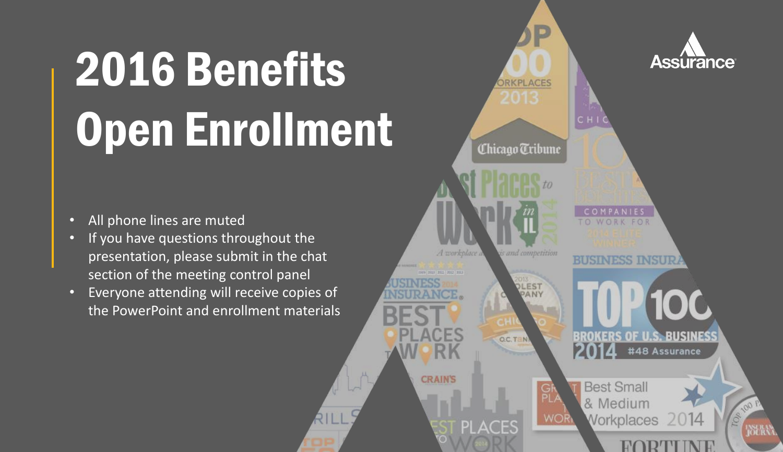# 2016 Benefits Open Enrollment

- All phone lines are muted
- If you have questions throughout the presentation, please submit in the chat section of the meeting control panel
- Everyone attending will receive copies of the PowerPoint and enrollment materials

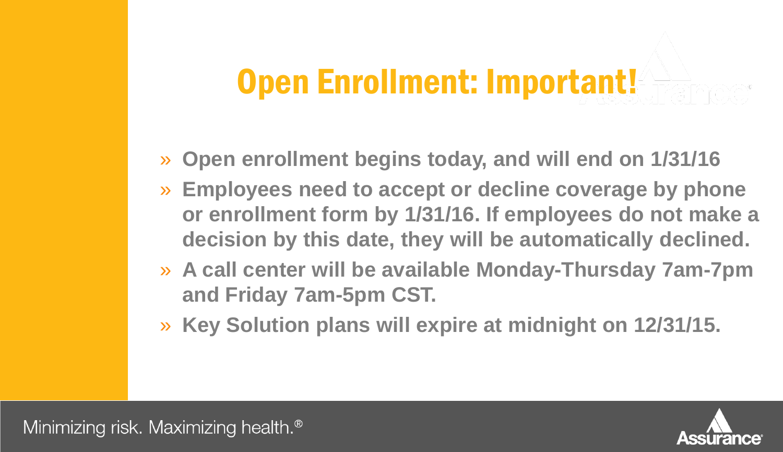#### Open Enrollment: Important!

- » **Open enrollment begins today, and will end on 1/31/16**
- » **Employees need to accept or decline coverage by phone or enrollment form by 1/31/16. If employees do not make a decision by this date, they will be automatically declined.**
- » **A call center will be available Monday-Thursday 7am-7pm and Friday 7am-5pm CST.**
- » **Key Solution plans will expire at midnight on 12/31/15.**

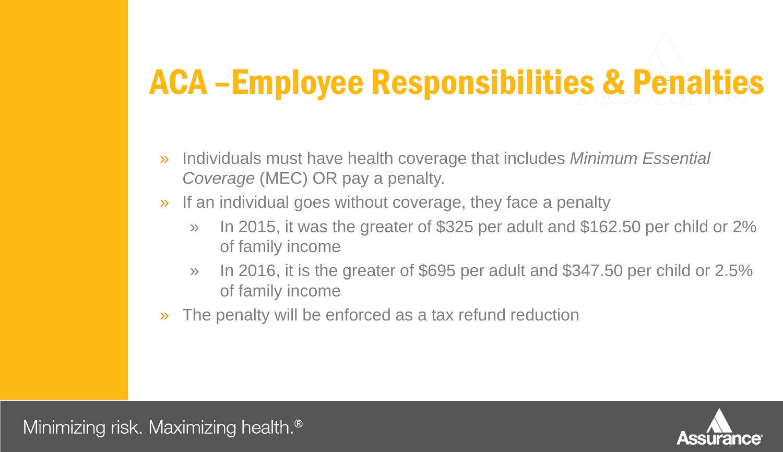#### ACA –Employee Responsibilities & Penalties

- » Individuals must have health coverage that includes *Minimum Essential Coverage* (MEC) OR pay a penalty.
- » If an individual goes without coverage, they face a penalty
	- » In 2015, it was the greater of \$325 per adult and \$162.50 per child or 2% of family income
	- » In 2016, it is the greater of \$695 per adult and \$347.50 per child or 2.5% of family income
- » The penalty will be enforced as a tax refund reduction

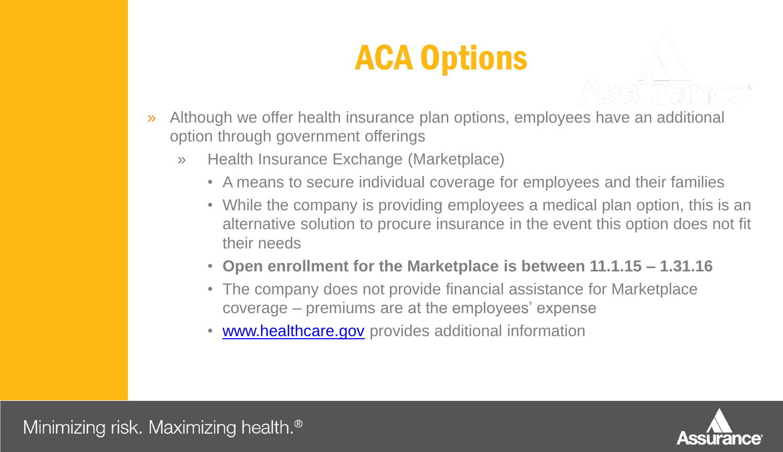### ACA Options

- » Although we offer health insurance plan options, employees have an additional option through government offerings
	- » Health Insurance Exchange (Marketplace)
		- A means to secure individual coverage for employees and their families
		- While the company is providing employees a medical plan option, this is an alternative solution to procure insurance in the event this option does not fit their needs
		- **Open enrollment for the Marketplace is between 11.1.15 – 1.31.16**
		- The company does not provide financial assistance for Marketplace coverage – premiums are at the employees' expense
		- [www.healthcare.gov](http://www.healthcare.gov/) provides additional information



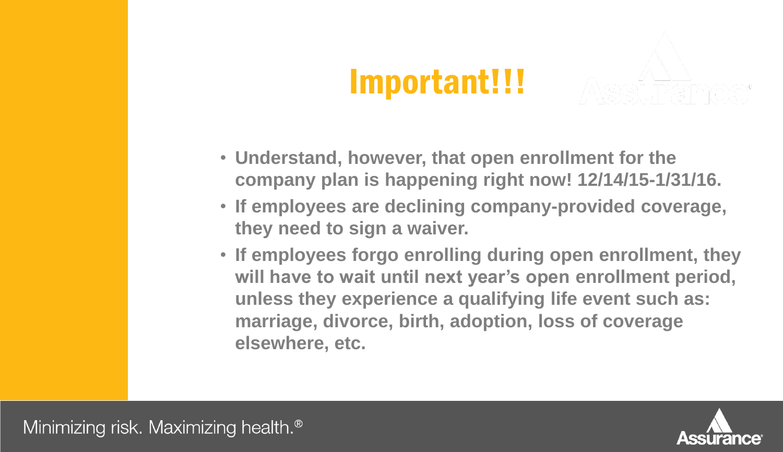#### Important!!!

- **Understand, however, that open enrollment for the company plan is happening right now! 12/14/15-1/31/16.**
- **If employees are declining company-provided coverage, they need to sign a waiver.**
- **If employees forgo enrolling during open enrollment, they will have to wait until next year's open enrollment period, unless they experience a qualifying life event such as: marriage, divorce, birth, adoption, loss of coverage elsewhere, etc.**

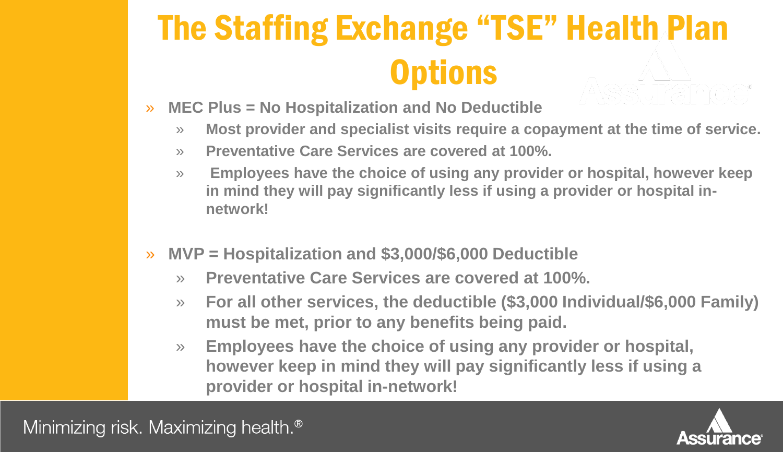# The Staffing Exchange "TSE" Health Plan **Options**

- » **MEC Plus = No Hospitalization and No Deductible**
	- » **Most provider and specialist visits require a copayment at the time of service.**
	- » **Preventative Care Services are covered at 100%.**
	- » **Employees have the choice of using any provider or hospital, however keep in mind they will pay significantly less if using a provider or hospital innetwork!**
- » **MVP = Hospitalization and \$3,000/\$6,000 Deductible**
	- » **Preventative Care Services are covered at 100%.**
	- » **For all other services, the deductible (\$3,000 Individual/\$6,000 Family) must be met, prior to any benefits being paid.**
	- » **Employees have the choice of using any provider or hospital, however keep in mind they will pay significantly less if using a provider or hospital in-network!**



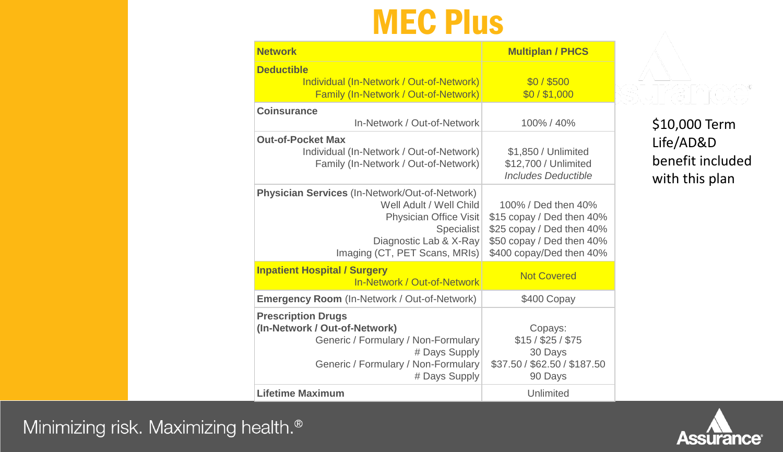#### MEC Plus

| <b>Network</b>                                                                                                                                                                             | <b>Multiplan / PHCS</b>                                                                                                                |
|--------------------------------------------------------------------------------------------------------------------------------------------------------------------------------------------|----------------------------------------------------------------------------------------------------------------------------------------|
| <b>Deductible</b><br>Individual (In-Network / Out-of-Network)<br>Family (In-Network / Out-of-Network)                                                                                      | \$0/\$500<br>\$0/\$1,000                                                                                                               |
| <b>Coinsurance</b><br>In-Network / Out-of-Network                                                                                                                                          | 100% / 40%                                                                                                                             |
| <b>Out-of-Pocket Max</b><br>Individual (In-Network / Out-of-Network)<br>Family (In-Network / Out-of-Network)                                                                               | \$1,850 / Unlimited<br>\$12,700 / Unlimited<br><b>Includes Deductible</b>                                                              |
| <b>Physician Services (In-Network/Out-of-Network)</b><br>Well Adult / Well Child<br><b>Physician Office Visit</b><br>Specialist<br>Diagnostic Lab & X-Ray<br>Imaging (CT, PET Scans, MRIs) | 100% / Ded then 40%<br>\$15 copay / Ded then 40%<br>\$25 copay / Ded then 40%<br>\$50 copay / Ded then 40%<br>\$400 copay/Ded then 40% |
| <b>Inpatient Hospital / Surgery</b><br>In-Network / Out-of-Network                                                                                                                         | <b>Not Covered</b>                                                                                                                     |
| <b>Emergency Room (In-Network / Out-of-Network)</b>                                                                                                                                        | \$400 Copay                                                                                                                            |
| <b>Prescription Drugs</b><br>(In-Network / Out-of-Network)<br>Generic / Formulary / Non-Formulary<br># Days Supply<br>Generic / Formulary / Non-Formulary<br># Days Supply                 | Copays:<br>$$15/$ \$25 / \$75<br>30 Days<br>\$37.50 / \$62.50 / \$187.50<br>90 Days                                                    |
| <b>Lifetime Maximum</b>                                                                                                                                                                    | Unlimited                                                                                                                              |

\$10,000 Term Life/AD&D benefit included with this plan

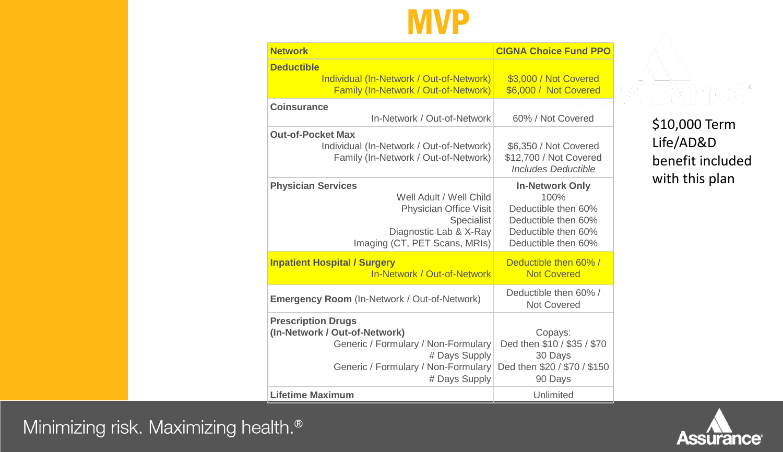#### **MVP**

| <b>Network</b>                                                                                                                                                             | <b>CIGNA Choice Fund PPO</b>                                                                                               |
|----------------------------------------------------------------------------------------------------------------------------------------------------------------------------|----------------------------------------------------------------------------------------------------------------------------|
| <b>Deductible</b><br>Individual (In-Network / Out-of-Network)<br>Family (In-Network / Out-of-Network)                                                                      | \$3,000 / Not Covered<br>\$6,000 / Not Covered                                                                             |
| <b>Coinsurance</b><br>In-Network / Out-of-Network                                                                                                                          | 60% / Not Covered                                                                                                          |
| <b>Out-of-Pocket Max</b><br>Individual (In-Network / Out-of-Network)<br>Family (In-Network / Out-of-Network)                                                               | \$6,350 / Not Covered<br>\$12,700 / Not Covered<br><b>Includes Deductible</b>                                              |
| <b>Physician Services</b><br>Well Adult / Well Child<br><b>Physician Office Visit</b><br>Specialist<br>Diagnostic Lab & X-Ray<br>Imaging (CT, PET Scans, MRIs)             | <b>In-Network Only</b><br>100%<br>Deductible then 60%<br>Deductible then 60%<br>Deductible then 60%<br>Deductible then 60% |
| <b>Inpatient Hospital / Surgery</b><br>In-Network / Out-of-Network                                                                                                         | Deductible then 60% /<br><b>Not Covered</b>                                                                                |
| <b>Emergency Room</b> (In-Network / Out-of-Network)                                                                                                                        | Deductible then 60% /<br><b>Not Covered</b>                                                                                |
| <b>Prescription Drugs</b><br>(In-Network / Out-of-Network)<br>Generic / Formulary / Non-Formulary<br># Days Supply<br>Generic / Formulary / Non-Formulary<br># Days Supply | Copays:<br>Ded then \$10 / \$35 / \$70<br>30 Days<br>Ded then \$20 / \$70 / \$150<br>90 Days                               |
| <b>Lifetime Maximum</b>                                                                                                                                                    | Unlimited                                                                                                                  |

\$10,000 Term Life/AD&D benefit included with this plan

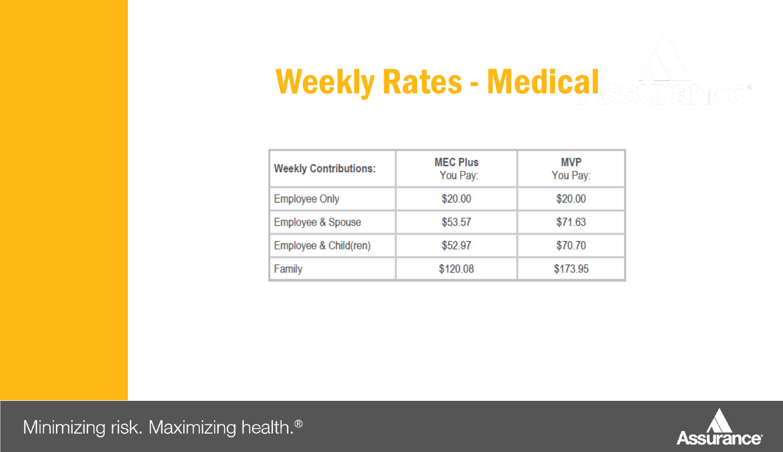#### Weekly Rates - Medical

| <b>Weekly Contributions:</b> | <b>MEC Plus</b><br>You Pay: | <b>MVP</b><br>You Pay: |
|------------------------------|-----------------------------|------------------------|
| <b>Employee Only</b>         | \$20.00                     | \$20.00                |
| Employee & Spouse            | \$53.57                     | \$71.63                |
| Employee & Child(ren)        | \$52.97                     | \$70.70                |
| Family                       | \$120.08                    | \$173.95               |

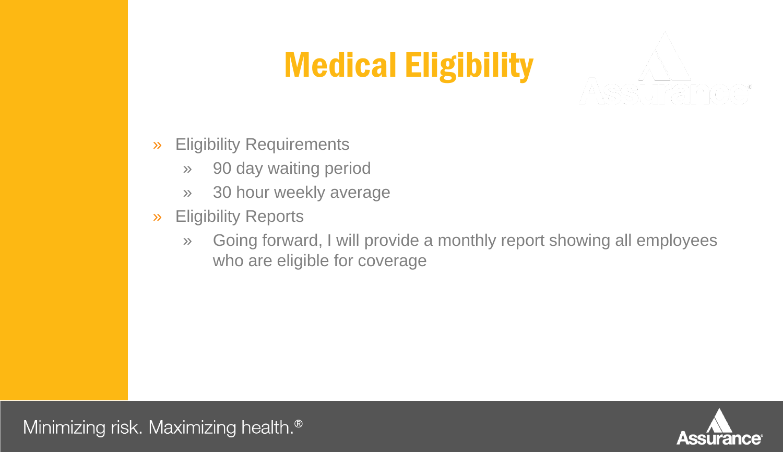### Medical Eligibility

- » Eligibility Requirements
	- » 90 day waiting period
	- » 30 hour weekly average
- » Eligibility Reports
	- » Going forward, I will provide a monthly report showing all employees who are eligible for coverage

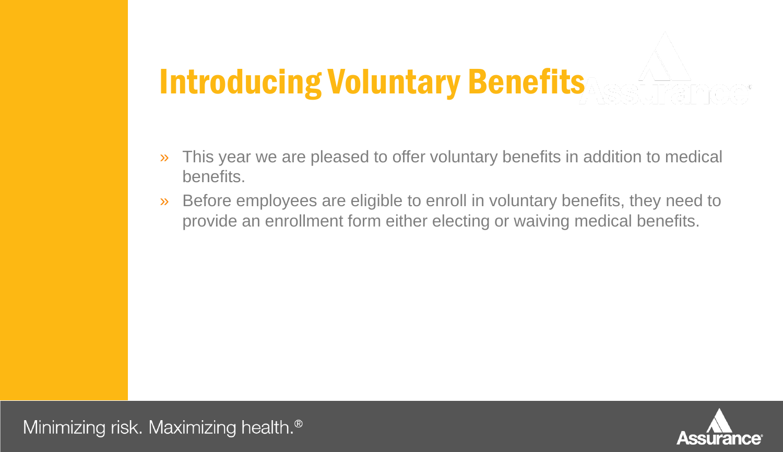#### Introducing Voluntary Benefits

- » This year we are pleased to offer voluntary benefits in addition to medical benefits.
- » Before employees are eligible to enroll in voluntary benefits, they need to provide an enrollment form either electing or waiving medical benefits.

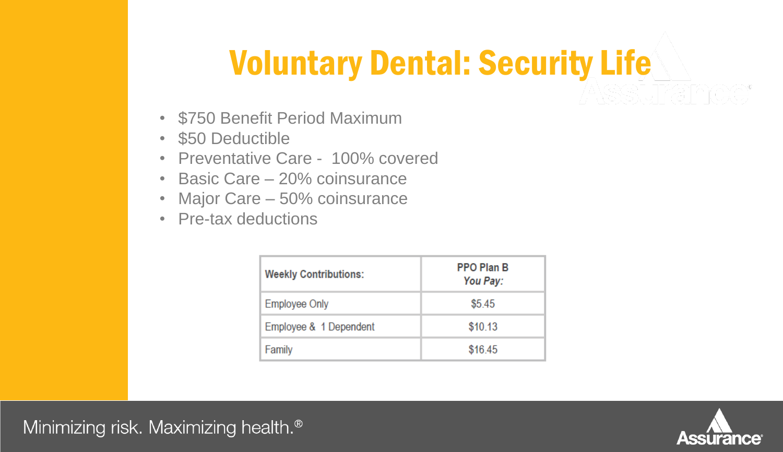#### Voluntary Dental: Security Life

- \$750 Benefit Period Maximum
- \$50 Deductible
- Preventative Care 100% covered
- Basic Care 20% coinsurance
- Major Care 50% coinsurance
- Pre-tax deductions

| <b>Weekly Contributions:</b> | <b>PPO Plan B</b><br>You Pay: |
|------------------------------|-------------------------------|
| <b>Employee Only</b>         | \$5.45                        |
| Employee & 1 Dependent       | \$10.13                       |
| Family                       | \$16.45                       |



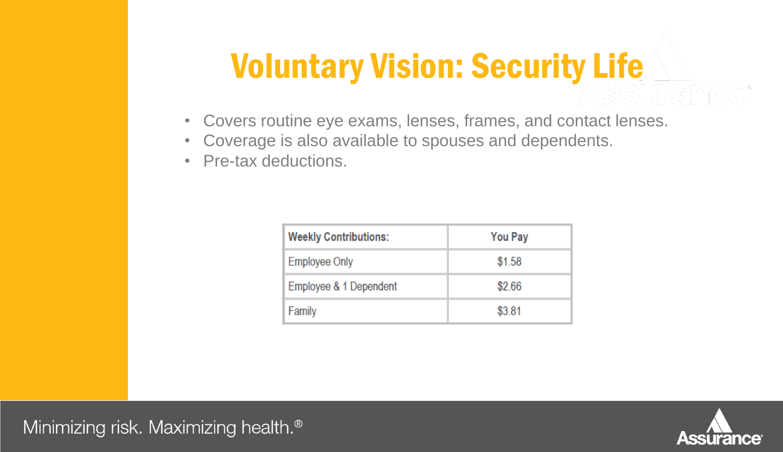### Voluntary Vision: Security Life

- Covers routine eye exams, lenses, frames, and contact lenses.
- Coverage is also available to spouses and dependents.
- Pre-tax deductions.

| <b>Weekly Contributions:</b> | <b>You Pay</b> |
|------------------------------|----------------|
| <b>Employee Only</b>         | \$1.58         |
| Employee & 1 Dependent       | \$2.66         |
| Family                       | \$3.81         |



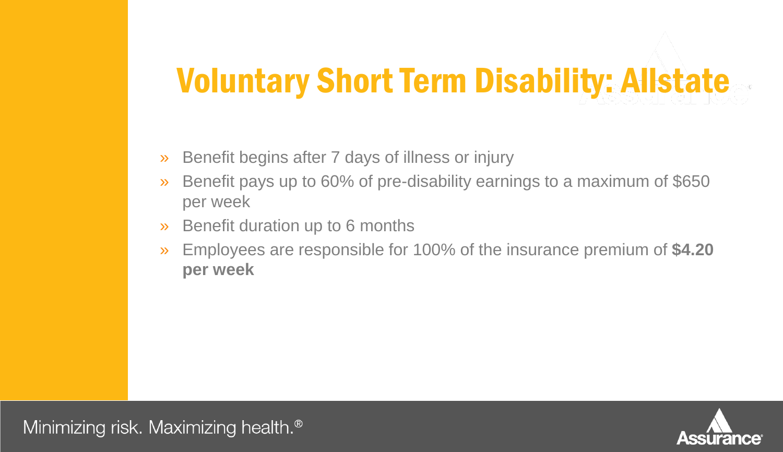#### Voluntary Short Term Disability: Allstate

- » Benefit begins after 7 days of illness or injury
- » Benefit pays up to 60% of pre-disability earnings to a maximum of \$650 per week
- » Benefit duration up to 6 months
- » Employees are responsible for 100% of the insurance premium of **\$4.20 per week**

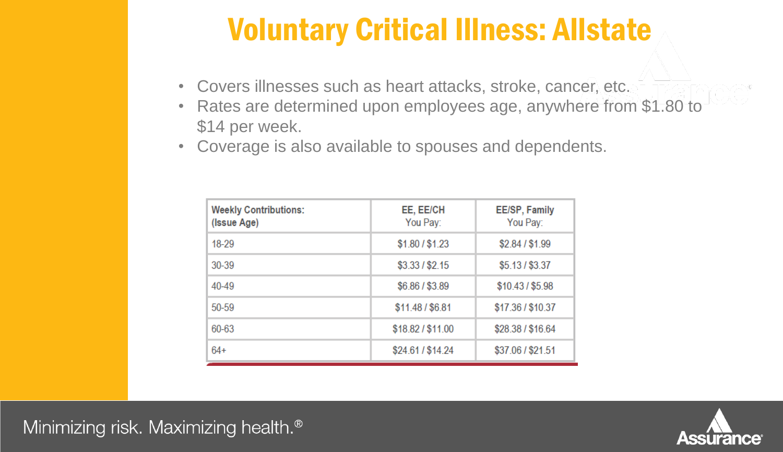#### Voluntary Critical Illness: Allstate

- Covers illnesses such as heart attacks, stroke, cancer, etc.
- Rates are determined upon employees age, anywhere from \$1.80 to \$14 per week.
- Coverage is also available to spouses and dependents.

| <b>Weekly Contributions:</b><br>(Issue Age) | EE, EE/CH<br>You Pay: | <b>EE/SP, Family</b><br>You Pay: |
|---------------------------------------------|-----------------------|----------------------------------|
| 18-29                                       | \$1.80 / \$1.23       | \$2.84 / \$1.99                  |
| $30 - 39$                                   | \$3.33 / \$2.15       | \$5.13 / \$3.37                  |
| 40-49                                       | \$6.86 / \$3.89       | \$10.43 / \$5.98                 |
| $50 - 59$                                   | \$11.48 / \$6.81      | \$17.36 / \$10.37                |
| 60-63                                       | \$18.82/\$11.00       | \$28.38 / \$16.64                |
| $64+$                                       | \$24.61 / \$14.24     | \$37.06 / \$21.51                |

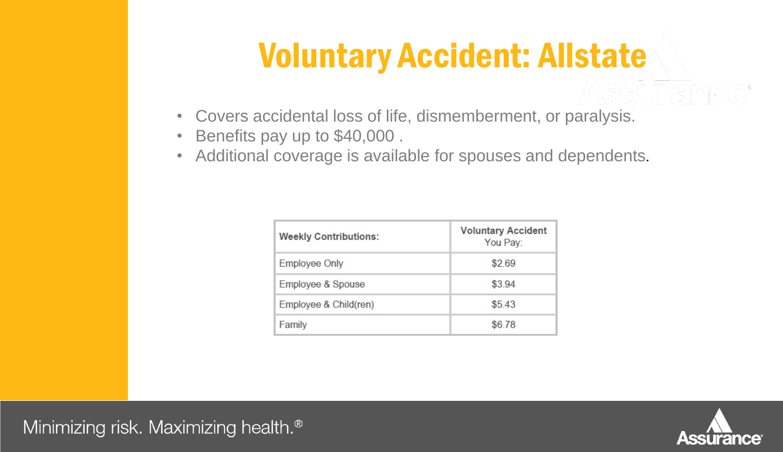#### Voluntary Accident: Allstate

- Covers accidental loss of life, dismemberment, or paralysis.
- Benefits pay up to \$40,000 .
- Additional coverage is available for spouses and dependents.

| <b>Weekly Contributions:</b> | <b>Voluntary Accident</b><br>You Pay: |
|------------------------------|---------------------------------------|
| <b>Employee Only</b>         | \$2.69                                |
| Employee & Spouse            | \$3.94                                |
| Employee & Child(ren)        | \$5.43                                |
| Family                       | \$6.78                                |

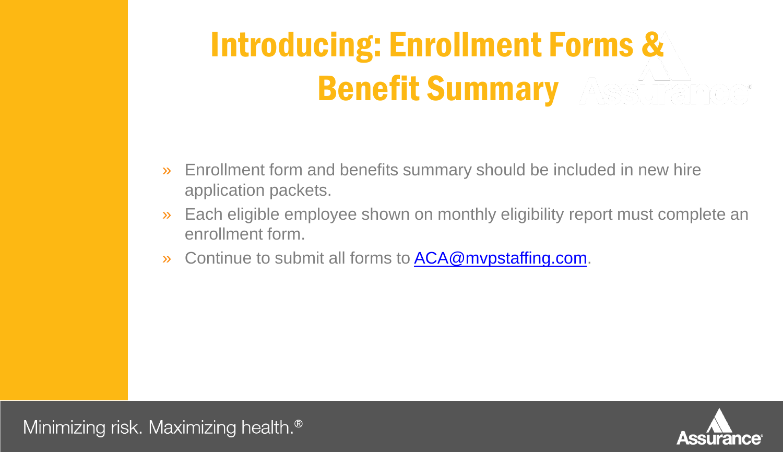# Introducing: Enrollment Forms & Benefit Summary

- » Enrollment form and benefits summary should be included in new hire application packets.
- » Each eligible employee shown on monthly eligibility report must complete an enrollment form.
- » Continue to submit all forms to **ACA@mvpstaffing.com**.

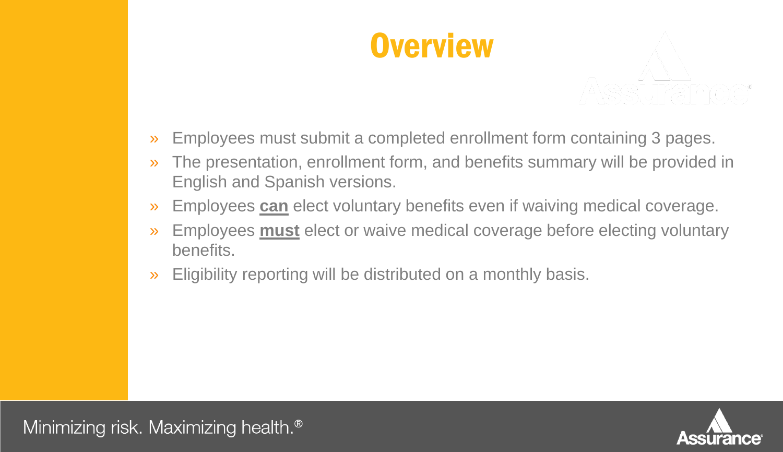



- » Employees must submit a completed enrollment form containing 3 pages.
- » The presentation, enrollment form, and benefits summary will be provided in English and Spanish versions.
- » Employees **can** elect voluntary benefits even if waiving medical coverage.
- » Employees **must** elect or waive medical coverage before electing voluntary benefits.
- » Eligibility reporting will be distributed on a monthly basis.